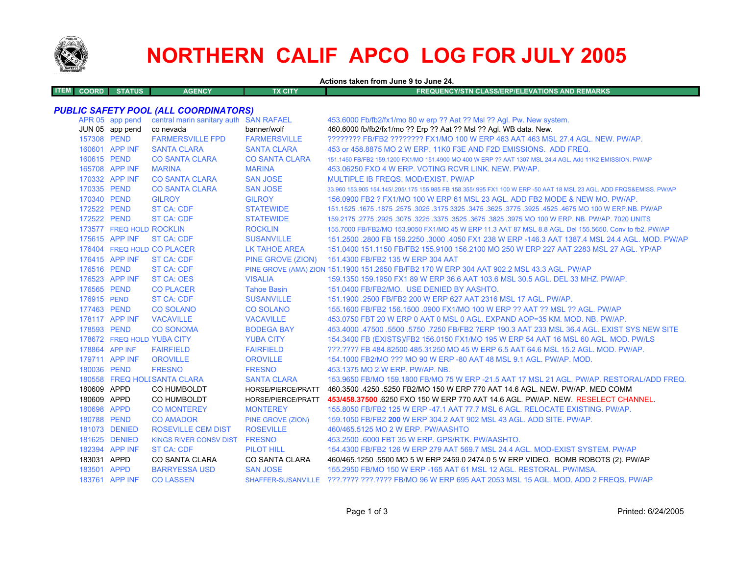

# **NORTHERN CALIF APCO LOG FOR JULY 2005**

| Actions taken from June 9 to June 24. |  |  |  |
|---------------------------------------|--|--|--|
|---------------------------------------|--|--|--|

| <b>ITEM</b> | <b>COORD</b> | <b>STATUS</b> | <b>AGENCY</b> | TX CITY | IFREQUENCY/STN CLASS/ERP/ELEVATIONS AND REMARKS <sup>1</sup> |
|-------------|--------------|---------------|---------------|---------|--------------------------------------------------------------|
|             |              |               |               |         |                                                              |

## *PUBLIC SAFETY POOL (ALL COORDINATORS)*

|             | APR 05 app pend<br>JUN 05 app pend | central marin sanitary auth SAN RAFAEL<br>co nevada | banner/wolf           | 453.6000 Fb/fb2/fx1/mo 80 w erp ?? Aat ?? Msl ?? Agl. Pw. New system.<br>460.6000 fb/fb2/fx1/mo ?? Erp ?? Aat ?? Msl ?? Agl. WB data. New. |
|-------------|------------------------------------|-----------------------------------------------------|-----------------------|--------------------------------------------------------------------------------------------------------------------------------------------|
| 157308 PEND |                                    | <b>FARMERSVILLE FPD</b>                             | <b>FARMERSVILLE</b>   | ???????? FB/FB2 ???????? FX1/MO 100 W ERP 463 AAT 463 MSL 27.4 AGL. NEW. PW/AP.                                                            |
|             | 160601 APP INF                     | <b>SANTA CLARA</b>                                  | <b>SANTA CLARA</b>    | 453 or 458,8875 MO 2 W ERP, 11K0 F3E AND F2D EMISSIONS. ADD FREQ.                                                                          |
| 160615 PEND |                                    | <b>CO SANTA CLARA</b>                               | <b>CO SANTA CLARA</b> | 151.1450 FB/FB2 159.1200 FX1/MO 151.4900 MO 400 W ERP ?? AAT 1307 MSL 24.4 AGL, Add 11K2 EMISSION, PW/AP                                   |
|             | 165708 APP INF                     | <b>MARINA</b>                                       | <b>MARINA</b>         | 453.06250 FXO 4 W ERP. VOTING RCVR LINK. NEW. PW/AP.                                                                                       |
|             | 170332 APP INF                     | <b>CO SANTA CLARA</b>                               | <b>SAN JOSE</b>       | MULTIPLE IB FREQS, MOD/EXIST, PW/AP                                                                                                        |
| 170335 PEND |                                    | <b>CO SANTA CLARA</b>                               | <b>SAN JOSE</b>       | 33,960 153,905 154,145/.205/.175 155,985 FB 158,355/.995 FX1 100 W ERP -50 AAT 18 MSL 23 AGL. ADD FRQS&EMISS, PW/AP                        |
| 170340 PEND |                                    | <b>GILROY</b>                                       | <b>GILROY</b>         | 156.0900 FB2 ? FX1/MO 100 W ERP 61 MSL 23 AGL. ADD FB2 MODE & NEW MO. PW/AP.                                                               |
| 172522 PEND |                                    | <b>ST CA: CDF</b>                                   | <b>STATEWIDE</b>      | 151.1525 .1675 .1875 .3025 .3775 .3625 .3775 .3925 .3775 .3925 .4525 .4675 .00 W ERP.NB. PW/AP                                             |
| 172522 PEND |                                    | <b>ST CA: CDF</b>                                   | <b>STATEWIDE</b>      | 159,2175,2775,2925,3075,3225,3375,3525,3675,3825,3975,MO 100 W ERP, NB, PW/AP, 7020 UNITS                                                  |
|             | 173577 FREQ HOLD ROCKLIN           |                                                     | <b>ROCKLIN</b>        | 155.7000 FB/FB2/MO 153.9050 FX1/MO 45 W ERP 11.3 AAT 87 MSL 8.8 AGL. Del 155.5650. Conv to fb2. PW/AP                                      |
|             | 175615 APP INF                     | <b>ST CA: CDF</b>                                   | <b>SUSANVILLE</b>     | 151.2500 .2800 FB 159.2250 .3000 .4050 FX1 238 W ERP -146.3 AAT 1387.4 MSL 24.4 AGL, MOD, PW/AP                                            |
|             |                                    | 176404 FREQ HOLD CO PLACER                          | <b>LK TAHOE AREA</b>  | 151,0400 151,1150 FB/FB2 155,9100 156,2100 MO 250 W ERP 227 AAT 2283 MSL 27 AGL, YP/AP                                                     |
|             | 176415 APP INF                     | <b>ST CA: CDF</b>                                   |                       | PINE GROVE (ZION) 151.4300 FB/FB2 135 W ERP 304 AAT                                                                                        |
| 176516 PEND |                                    | <b>ST CA: CDF</b>                                   |                       | PINE GROVE (AMA) ZION 151.1900 151.2650 FB/FB2 170 W ERP 304 AAT 902.2 MSL 43.3 AGL. PW/AP                                                 |
|             | 176523 APP INF                     | <b>ST CA: OES</b>                                   | <b>VISALIA</b>        | 159.1350 159.1950 FX1 89 W ERP 36.6 AAT 103.6 MSL 30.5 AGL, DEL 33 MHZ, PW/AP,                                                             |
| 176565 PEND |                                    | <b>CO PLACER</b>                                    | <b>Tahoe Basin</b>    | 151.0400 FB/FB2/MO. USE DENIED BY AASHTO.                                                                                                  |
| 176915 PEND |                                    | <b>ST CA: CDF</b>                                   | <b>SUSANVILLE</b>     | 151.1900 .2500 FB/FB2 200 W ERP 627 AAT 2316 MSL 17 AGL. PW/AP.                                                                            |
| 177463 PEND |                                    | <b>CO SOLANO</b>                                    | <b>CO SOLANO</b>      | 155.1600 FB/FB2 156.1500 .0900 FX1/MO 100 W ERP ?? AAT ?? MSL ?? AGL. PW/AP                                                                |
|             | 178117 APP INF                     | <b>VACAVILLE</b>                                    | <b>VACAVILLE</b>      | 453.0750 FBT 20 W ERP 0 AAT 0 MSL 0 AGL. EXPAND AOP=35 KM. MOD. NB. PW/AP.                                                                 |
| 178593 PEND |                                    | <b>CO SONOMA</b>                                    | <b>BODEGA BAY</b>     | 453.4000 .47500 .5500 .5750 .7250 FB/FB2 ?ERP 190.3 AAT 233 MSL 36.4 AGL. EXIST SYS NEW SITE                                               |
|             |                                    | 178672 FREQ HOLD YUBA CITY                          | <b>YUBA CITY</b>      | 154.3400 FB (EXISTS)/FB2 156.0150 FX1/MO 195 W ERP 54 AAT 16 MSL 60 AGL. MOD. PW/LS                                                        |
|             | 178864 APP INF                     | <b>FAIRFIELD</b>                                    | <b>FAIRFIELD</b>      | ???.???? FB 484.82500 485.31250 MO 45 W ERP 6.5 AAT 64.6 MSL 15.2 AGL, MOD, PW/AP,                                                         |
|             | 179711 APP INF                     | <b>OROVILLE</b>                                     | <b>OROVILLE</b>       | 154,1000 FB2/MO ??? MO 90 W ERP -80 AAT 48 MSL 9.1 AGL, PW/AP, MOD.                                                                        |
| 180036 PEND |                                    | <b>FRESNO</b>                                       | <b>FRESNO</b>         | 453.1375 MO 2 W ERP. PW/AP. NB.                                                                                                            |
|             |                                    | 180558 FREQ HOLI SANTA CLARA                        | <b>SANTA CLARA</b>    | 153,9650 FB/MO 159,1800 FB/MO 75 W ERP -21.5 AAT 17 MSL 21 AGL, PW/AP, RESTORAL/ADD FREQ.                                                  |
| 180609 APPD |                                    | CO HUMBOLDT                                         | HORSE/PIERCE/PRATT    | 460.3500 .4250 .5250 FB2/MO 150 W ERP 770 AAT 14.6 AGL, NEW, PW/AP, MED COMM                                                               |
| 180609 APPD |                                    | CO HUMBOLDT                                         | HORSE/PIERCE/PRATT    | 453/458.37500 6250 FXO 150 W ERP 770 AAT 14.6 AGL, PW/AP, NEW, RESELECT CHANNEL.                                                           |
| 180698 APPD |                                    | <b>CO MONTEREY</b>                                  | <b>MONTEREY</b>       | 155,8050 FB/FB2 125 W ERP -47.1 AAT 77.7 MSL 6 AGL, RELOCATE EXISTING, PW/AP.                                                              |
| 180788 PEND |                                    | <b>CO AMADOR</b>                                    | PINE GROVE (ZION)     | 159.1050 FB/FB2 200 W ERP 304.2 AAT 902 MSL 43 AGL. ADD SITE. PW/AP.                                                                       |
|             | 181073 DENIED                      | <b>ROSEVILLE CEM DIST</b>                           | <b>ROSEVILLE</b>      | 460/465.5125 MO 2 W ERP. PW/AASHTO                                                                                                         |
|             | 181625 DENIED                      | <b>KINGS RIVER CONSV DIST</b>                       | <b>FRESNO</b>         | 453.2500 .6000 FBT 35 W ERP. GPS/RTK. PW/AASHTO.                                                                                           |
|             | 182394 APP INF                     | <b>ST CA: CDF</b>                                   | <b>PILOT HILL</b>     | 154.4300 FB/FB2 126 W ERP 279 AAT 569.7 MSL 24.4 AGL. MOD-EXIST SYSTEM. PW/AP                                                              |
| 183031 APPD |                                    | CO SANTA CLARA                                      | CO SANTA CLARA        | 460/465.1250 .5500 MO 5 W ERP 2459.0 2474.0 5 W ERP VIDEO. BOMB ROBOTS (2). PW/AP                                                          |
| 183501 APPD |                                    | <b>BARRYESSA USD</b>                                | <b>SAN JOSE</b>       | 155,2950 FB/MO 150 W ERP -165 AAT 61 MSL 12 AGL, RESTORAL, PW/IMSA.                                                                        |
|             | 183761 APP INF                     | <b>CO LASSEN</b>                                    |                       | SHAFFER-SUSANVILLE ???.???? ???.???? FB/MO 96 W ERP 695 AAT 2053 MSL 15 AGL. MOD. ADD 2 FREQS. PW/AP                                       |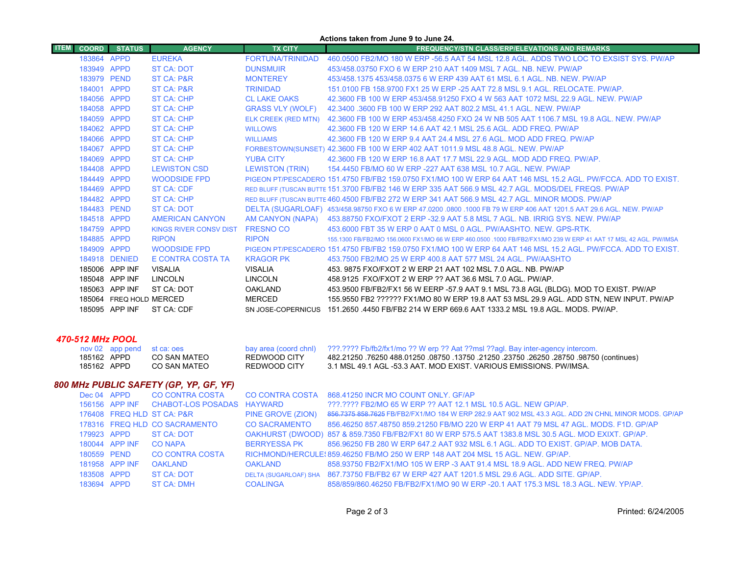|             | Actions taken from June 9 to June 24. |                         |                                        |                                              |                                                                                                                                                                    |  |
|-------------|---------------------------------------|-------------------------|----------------------------------------|----------------------------------------------|--------------------------------------------------------------------------------------------------------------------------------------------------------------------|--|
| <b>ITEM</b> | <b>COORD</b>                          | <b>STATUS</b>           | <b>AGENCY</b>                          | <b>TX CITY</b>                               | <b>FREQUENCY/STN CLASS/ERP/ELEVATIONS AND REMARKS</b>                                                                                                              |  |
|             | 183864 APPD                           |                         | <b>EUREKA</b>                          | FORTUNA/TRINIDAD                             | 460,0500 FB2/MO 180 W ERP -56.5 AAT 54 MSL 12.8 AGL. ADDS TWO LOC TO EXSIST SYS. PW/AP                                                                             |  |
|             | 183949 APPD                           |                         | ST CA: DOT                             | <b>DUNSMUIR</b>                              | 453/458.03750 FXO 6 W ERP 210 AAT 1409 MSL 7 AGL. NB. NEW. PW/AP                                                                                                   |  |
|             | 183979 PEND                           |                         | ST CA: P&R                             | <b>MONTEREY</b>                              | 453/458.1375 453/458.0375 6 W ERP 439 AAT 61 MSL 6.1 AGL, NB, NEW, PW/AP                                                                                           |  |
|             | 184001 APPD                           |                         | <b>ST CA: P&amp;R</b>                  | <b>TRINIDAD</b>                              | 151,0100 FB 158,9700 FX1 25 W ERP -25 AAT 72.8 MSL 9.1 AGL, RELOCATE, PW/AP.                                                                                       |  |
|             | 184056 APPD                           |                         | <b>ST CA: CHP</b>                      | <b>CL LAKE OAKS</b>                          | 42.3600 FB 100 W ERP 453/458.91250 FXO 4 W 563 AAT 1072 MSL 22.9 AGL. NEW. PW/AP                                                                                   |  |
|             | 184058 APPD                           |                         | ST CA: CHP                             | <b>GRASS VLY (WOLF)</b>                      | 42.3400 .3600 FB 100 W ERP 292 AAT 802.2 MSL 41.1 AGL. NEW. PW/AP                                                                                                  |  |
|             | 184059 APPD                           |                         | ST CA: CHP                             |                                              | ELK CREEK (RED MTN) 42.3600 FB 100 W ERP 453/458.4250 FXO 24 W NB 505 AAT 1106.7 MSL 19.8 AGL. NEW. PW/AP                                                          |  |
|             | 184062 APPD                           |                         | ST CA: CHP                             | <b>WILLOWS</b>                               | 42.3600 FB 120 W ERP 14.6 AAT 42.1 MSL 25.6 AGL, ADD FREQ, PW/AP                                                                                                   |  |
|             | 184066 APPD                           |                         | <b>ST CA: CHP</b>                      | <b>WILLIAMS</b>                              | 42.3600 FB 120 W ERP 9.4 AAT 24.4 MSL 27.6 AGL. MOD ADD FREQ. PW/AP                                                                                                |  |
|             | 184067 APPD                           |                         | <b>ST CA: CHP</b>                      |                                              | FORBESTOWN(SUNSET) 42.3600 FB 100 W ERP 402 AAT 1011.9 MSL 48.8 AGL. NEW. PW/AP                                                                                    |  |
|             | 184069 APPD                           |                         | ST CA: CHP                             | <b>YUBA CITY</b>                             | 42.3600 FB 120 W ERP 16.8 AAT 17.7 MSL 22.9 AGL, MOD ADD FREQ, PW/AP.                                                                                              |  |
|             | 184408 APPD                           |                         | <b>LEWISTON CSD</b>                    | <b>LEWISTON (TRIN)</b>                       | 154,4450 FB/MO 60 W ERP -227 AAT 638 MSL 10.7 AGL, NEW, PW/AP                                                                                                      |  |
|             | 184449 APPD                           |                         | <b>WOODSIDE FPD</b>                    |                                              | PIGEON PT/PESCADERO 151.4750 FB/FB2 159.0750 FX1/MO 100 W ERP 64 AAT 146 MSL 15.2 AGL, PW/FCCA, ADD TO EXIST,                                                      |  |
|             | 184469 APPD                           |                         | <b>ST CA: CDF</b>                      |                                              | RED BLUFF (TUSCAN BUTTE 151.3700 FB/FB2 146 W ERP 335 AAT 566.9 MSL 42.7 AGL. MODS/DEL FREQS. PW/AP                                                                |  |
|             | 184482 APPD                           |                         | <b>ST CA: CHP</b>                      |                                              | RED BLUFF (TUSCAN BUTTE 460.4500 FB/FB2 272 W ERP 341 AAT 566.9 MSL 42.7 AGL. MINOR MODS. PW/AP                                                                    |  |
|             | 184483 PEND                           |                         | ST CA: DOT                             |                                              | DELTA (SUGARLOAF) 453/458.98750 FXO 6 W ERP 47.0200 .0800 .1000 FB 79 W ERP 406 AAT 1201.5 AAT 29.6 AGL. NEW. PW/AP                                                |  |
|             | 184518 APPD                           |                         | <b>AMERICAN CANYON</b>                 | AM CANYON (NAPA)                             | 453,88750 FXO/FXOT 2 ERP -32.9 AAT 5.8 MSL 7 AGL, NB, IRRIG SYS, NEW, PW/AP                                                                                        |  |
|             | 184759 APPD                           |                         | <b>KINGS RIVER CONSV DIST</b>          | <b>FRESNO CO</b>                             | 453,6000 FBT 35 W ERP 0 AAT 0 MSL 0 AGL, PW/AASHTO, NEW, GPS-RTK.                                                                                                  |  |
|             | 184885 APPD                           |                         | <b>RIPON</b>                           | <b>RIPON</b>                                 | 155.1300 FB/FB2/MO 156.0600 FX1/MO 66 W ERP 460.0500 .1000 FB/FB2/FX1/MO 239 W ERP 41 AAT 17 MSL 42 AGL. PW/IMSA                                                   |  |
|             | 184909 APPD                           |                         | <b>WOODSIDE FPD</b>                    |                                              | PIGEON PT/PESCADERO 151.4750 FB/FB2 159.0750 FX1/MO 100 W ERP 64 AAT 146 MSL 15.2 AGL. PW/FCCA. ADD TO EXIST.                                                      |  |
|             |                                       | 184918 DENIED           | E CONTRA COSTA TA                      | <b>KRAGOR PK</b>                             | 453.7500 FB2/MO 25 W ERP 400.8 AAT 577 MSL 24 AGL, PW/AASHTO                                                                                                       |  |
|             |                                       | 185006 APP INF          | <b>VISALIA</b>                         | <b>VISALIA</b>                               | 453, 9875 FXO/FXOT 2 W ERP 21 AAT 102 MSL 7.0 AGL, NB, PW/AP                                                                                                       |  |
|             |                                       | 185048 APP INF          | <b>LINCOLN</b>                         | <b>LINCOLN</b>                               | 458.9125 FXO/FXOT 2 W ERP ?? AAT 36.6 MSL 7.0 AGL. PW/AP.                                                                                                          |  |
|             |                                       | 185063 APP INF          | ST CA: DOT                             | <b>OAKLAND</b>                               | 453.9500 FB/FB2/FX1 56 W EERP -57.9 AAT 9.1 MSL 73.8 AGL (BLDG). MOD TO EXIST. PW/AP                                                                               |  |
|             |                                       | 185064 FREQ HOLD MERCED |                                        | <b>MERCED</b>                                | 155.9550 FB2 ?????? FX1/MO 80 W ERP 19.8 AAT 53 MSL 29.9 AGL. ADD STN, NEW INPUT. PW/AP                                                                            |  |
|             |                                       | 185095 APP INF          | ST CA: CDF                             |                                              | SN JOSE-COPERNICUS 151.2650 .4450 FB/FB2 214 W ERP 669.6 AAT 1333.2 MSL 19.8 AGL, MODS, PW/AP,                                                                     |  |
|             |                                       |                         |                                        |                                              |                                                                                                                                                                    |  |
|             |                                       |                         |                                        |                                              |                                                                                                                                                                    |  |
|             |                                       | 470-512 MHz POOL        |                                        |                                              |                                                                                                                                                                    |  |
|             | 185162 APPD                           | nov 02 app pend         | st ca: oes<br><b>CO SAN MATEO</b>      | bay area (coord chnl)<br><b>REDWOOD CITY</b> | ???.???? Fb/fb2/fx1/mo ?? W erp ?? Aat ??msl ??agl. Bay inter-agency intercom.<br>482.21250 .76250 488.01250 .08750 .21250 .23750 .26250 .28750 .98750 (continues) |  |
|             | 185162 APPD                           |                         | <b>CO SAN MATEO</b>                    | REDWOOD CITY                                 | 3.1 MSL 49.1 AGL -53.3 AAT. MOD EXIST. VARIOUS EMISSIONS. PW/IMSA.                                                                                                 |  |
|             |                                       |                         |                                        |                                              |                                                                                                                                                                    |  |
|             |                                       |                         | 800 MHz PUBLIC SAFETY (GP, YP, GF, YF) |                                              |                                                                                                                                                                    |  |
|             | Dec 04 APPD                           |                         | <b>CO CONTRA COSTA</b>                 | <b>CO CONTRA COSTA</b>                       | 868.41250 INCR MO COUNT ONLY. GF/AP                                                                                                                                |  |
|             |                                       | 156156 APP INF          | <b>CHABOT-LOS POSADAS</b>              | <b>HAYWARD</b>                               | ???.???? FB2/MO 65 W ERP ?? AAT 12.1 MSL 10.5 AGL. NEW GP/AP.                                                                                                      |  |
|             |                                       |                         | 176408 FREQ HLD ST CA: P&R             | PINE GROVE (ZION)                            | 856.7375 858.7625 FB/FB2/FX1/MO 184 W ERP 282.9 AAT 902 MSL 43.3 AGL. ADD 2N CHNL MINOR MODS. GP/AP                                                                |  |
|             |                                       |                         | 178316 FREQ HLD CO SACRAMENTO          | <b>CO SACRAMENTO</b>                         | 856.46250 857.48750 859.21250 FB/MO 220 W ERP 41 AAT 79 MSL 47 AGL. MODS. F1D. GP/AP                                                                               |  |

|                          | 179923 APPD ST CA: DOT |               | OAKHURST (DWOOD) 857 & 859.7350 FB/FB2/FX1 80 W ERP 575.5 AAT 1383.8 MSL 30.5 AGL. MOD EXIXT. GP/AP. |
|--------------------------|------------------------|---------------|------------------------------------------------------------------------------------------------------|
| $100011$ ADD INIT CONADA |                        | DEDDVECCA DIZ | - AFRICAES ED AGO WIEDD 647 A AT 023 MOL 6.4 AOL - ADD TO EVICT - ODIAD - MOD DATA                   |

180044 APP INF CO NAPA BERRYESSA PK 856.96250 FB 280 W ERP 647.2 AAT 932 MSL 6.1 AGL. ADD TO EXIST. GP/AP. MOB DATA. 180559 PEND CO CONTRA COSTA RICHMOND/HERCULES859.46250 FB/MO 250 W ERP 148 AAT 204 MSL 15 AGL. NEW. GP/AP.

 APP INF OAKLAND OAKLAND 858.93750 FB2/FX1/MO 105 W ERP -3 AAT 91.4 MSL 18.9 AGL. ADD NEW FREQ. PW/AP APPD ST CA: DOT DELTA (SUGARLOAF) SHA 867.73750 FB/FB2 67 W ERP 427 AAT 1201.5 MSL 29.6 AGL. ADD SITE. GP/AP. APPD ST CA: DMH COALINGA 858/859/860.46250 FB/FB2/FX1/MO 90 W ERP -20.1 AAT 175.3 MSL 18.3 AGL. NEW. YP/AP.